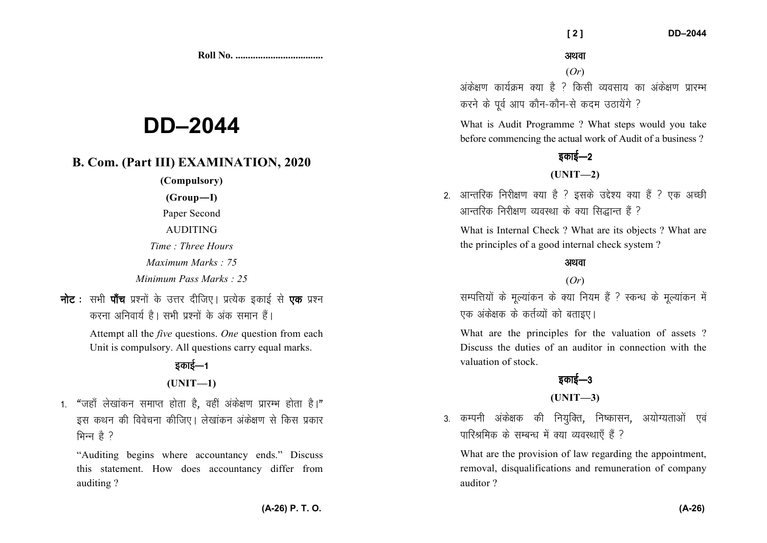**Roll No. ...................................** 

# **DD–2044**

## **B. Com. (Part III) EXAMINATION, 2020**

**(Compulsory)** 

**(Group—I)** 

Paper Second

AUDITING

*Time : Three Hours* 

*Maximum Marks : 75* 

*Minimum Pass Marks : 25*

**नोट**: सभी **पॉच** प्रश्नों के उत्तर दीजिए। प्रत्येक इकाई से **एक** प्रश्न *djuk vfuok;Z gSA lHkh iz'uksa d¢ vad leku gSaA* 

> Attempt all the *five* questions. *One* question from each Unit is compulsory. All questions carry equal marks.

## <u>रकाई—1</u> **(UNIT—1)**

1. "जहाँ लेखांकन समाप्त होता है, वहीं अंकेक्षण प्रारम्भ होता है।" *bl dFku dh foospuk dhft,A ys[kkadu vads{k.k ls fdl izdkj* मिन्न है ?

"Auditing begins where accountancy ends." Discuss this statement. How does accountancy differ from auditing ?

#### अथवा

(*Or*)

*vads{k.k dk;ZØe D;k gS \ fdlh O;olk; dk vads{k.k izkjEHk करने के पर्व आप कौन-कौन-से कदम उ*ठायेंगे ?

What is Audit Programme ? What steps would you takebefore commencing the actual work of Audit of a business ?

## *zकाई—2*

#### **(UNIT—2)**

2. आन्तरिक निरीक्षण क्या है ? इसके उद्देश्य क्या हैं ? एक अच्छी *vkUrfjd fujh{k.k O;oLFkk ds D;k fl)kUr gSa \* 

What is Internal Check ? What are its objects ? What are the principles of a good internal check system ?

#### अथवा

#### (*Or*)

*lEifŸk;ksa ds ewY;kadu ds D;k fu;e gSa \ LdU/k ds ewY;kadu esa एक अंकेक्षक के कर्तव्यों को बताइए।* 

What are the principles for the valuation of assets ? Discuss the duties of an auditor in connection with the valuation of stock.

## **5काई—3**

### **(UNIT—3)**

3. कम्पनी अंकेक्षक की नियुक्ति, निष्कासन, अयोग्यताओं एवं *ikfjJfed ds lEcU/k esa D;k O;oLFkk,¡ gSa \* 

What are the provision of law regarding the appointment, removal, disqualifications and remuneration of company auditor ?